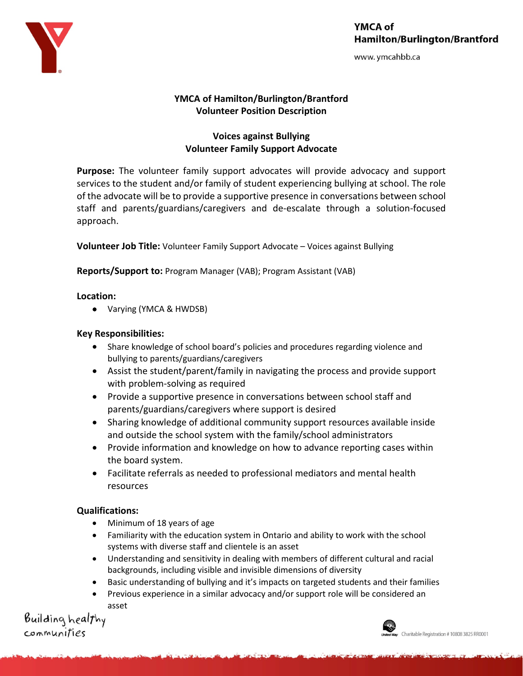

# YMCA of **Hamilton/Burlington/Brantford**

www.ymcahbb.ca

## **YMCA of Hamilton/Burlington/Brantford Volunteer Position Description**

## **Voices against Bullying Volunteer Family Support Advocate**

**Purpose:** The volunteer family support advocates will provide advocacy and support services to the student and/or family of student experiencing bullying at school. The role of the advocate will be to provide a supportive presence in conversations between school staff and parents/guardians/caregivers and de-escalate through a solution-focused approach.

**Volunteer Job Title:** Volunteer Family Support Advocate – Voices against Bullying

**Reports/Support to:** Program Manager (VAB); Program Assistant (VAB)

### **Location:**

• Varying (YMCA & HWDSB)

### **Key Responsibilities:**

- Share knowledge of school board's policies and procedures regarding violence and bullying to parents/guardians/caregivers
- Assist the student/parent/family in navigating the process and provide support with problem-solving as required
- Provide a supportive presence in conversations between school staff and parents/guardians/caregivers where support is desired
- Sharing knowledge of additional community support resources available inside and outside the school system with the family/school administrators
- Provide information and knowledge on how to advance reporting cases within the board system.
- Facilitate referrals as needed to professional mediators and mental health resources

## **Qualifications:**

- Minimum of 18 years of age
- Familiarity with the education system in Ontario and ability to work with the school systems with diverse staff and clientele is an asset
- Understanding and sensitivity in dealing with members of different cultural and racial backgrounds, including visible and invisible dimensions of diversity
- Basic understanding of bullying and it's impacts on targeted students and their families
- Previous experience in a similar advocacy and/or support role will be considered an asset

Building healthy communities

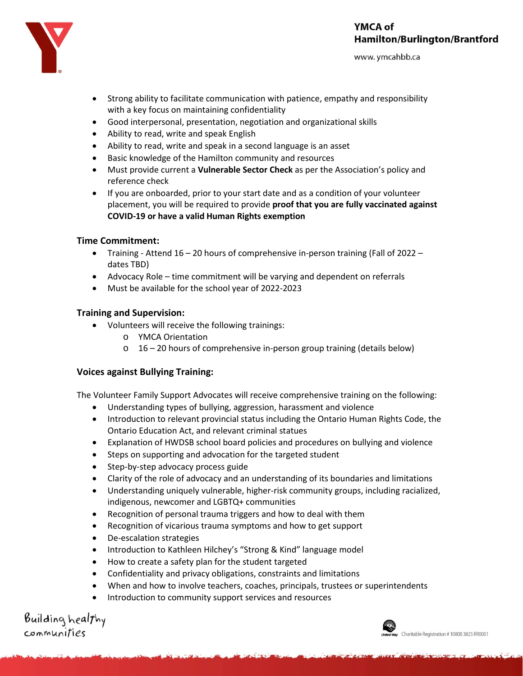

www.ymcahbb.ca



- Strong ability to facilitate communication with patience, empathy and responsibility with a key focus on maintaining confidentiality
- Good interpersonal, presentation, negotiation and organizational skills
- Ability to read, write and speak English
- Ability to read, write and speak in a second language is an asset
- Basic knowledge of the Hamilton community and resources
- Must provide current a **Vulnerable Sector Check** as per the Association's policy and reference check
- If you are onboarded, prior to your start date and as a condition of your volunteer placement, you will be required to provide **proof that you are fully vaccinated against COVID-19 or have a valid Human Rights exemption**

#### **Time Commitment:**

- Training Attend 16 20 hours of comprehensive in-person training (Fall of 2022 dates TBD)
- Advocacy Role time commitment will be varying and dependent on referrals
- Must be available for the school year of 2022-2023

#### **Training and Supervision:**

- Volunteers will receive the following trainings:
	- o YMCA Orientation
	- $\circ$  16 20 hours of comprehensive in-person group training (details below)

#### **Voices against Bullying Training:**

The Volunteer Family Support Advocates will receive comprehensive training on the following:

- Understanding types of bullying, aggression, harassment and violence
- Introduction to relevant provincial status including the Ontario Human Rights Code, the Ontario Education Act, and relevant criminal statues
- Explanation of HWDSB school board policies and procedures on bullying and violence
- Steps on supporting and advocation for the targeted student
- Step-by-step advocacy process guide
- Clarity of the role of advocacy and an understanding of its boundaries and limitations
- Understanding uniquely vulnerable, higher-risk community groups, including racialized, indigenous, newcomer and LGBTQ+ communities
- Recognition of personal trauma triggers and how to deal with them
- Recognition of vicarious trauma symptoms and how to get support
- De-escalation strategies
- Introduction to Kathleen Hilchey's "Strong & Kind" language model
- How to create a safety plan for the student targeted
- Confidentiality and privacy obligations, constraints and limitations
- When and how to involve teachers, coaches, principals, trustees or superintendents
- Introduction to community support services and resources

Building healthy communities